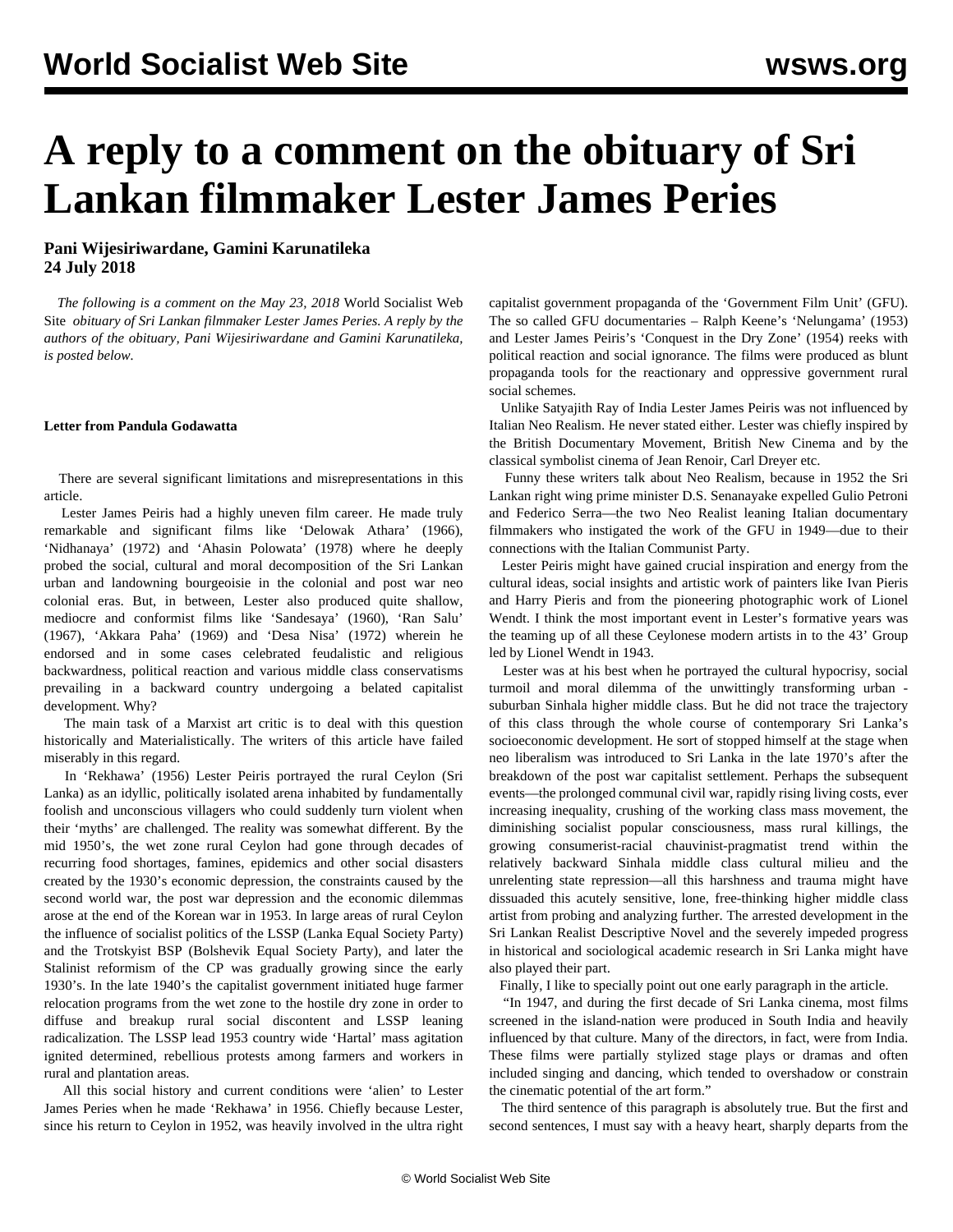## **A reply to a comment on the obituary of Sri Lankan filmmaker Lester James Peries**

## **Pani Wijesiriwardane, Gamini Karunatileka 24 July 2018**

 *The following is a comment on the May 23, 2018* World Socialist Web Site *[obituary](/en/articles/2018/05/23/film-m23.html) of Sri Lankan filmmaker Lester James Peries. A reply by the authors of the obituary, Pani Wijesiriwardane and Gamini Karunatileka, is posted below.*

## **Letter from Pandula Godawatta**

 There are several significant limitations and misrepresentations in this article.

 Lester James Peiris had a highly uneven film career. He made truly remarkable and significant films like 'Delowak Athara' (1966), 'Nidhanaya' (1972) and 'Ahasin Polowata' (1978) where he deeply probed the social, cultural and moral decomposition of the Sri Lankan urban and landowning bourgeoisie in the colonial and post war neo colonial eras. But, in between, Lester also produced quite shallow, mediocre and conformist films like 'Sandesaya' (1960), 'Ran Salu' (1967), 'Akkara Paha' (1969) and 'Desa Nisa' (1972) wherein he endorsed and in some cases celebrated feudalistic and religious backwardness, political reaction and various middle class conservatisms prevailing in a backward country undergoing a belated capitalist development. Why?

 The main task of a Marxist art critic is to deal with this question historically and Materialistically. The writers of this article have failed miserably in this regard.

 In 'Rekhawa' (1956) Lester Peiris portrayed the rural Ceylon (Sri Lanka) as an idyllic, politically isolated arena inhabited by fundamentally foolish and unconscious villagers who could suddenly turn violent when their 'myths' are challenged. The reality was somewhat different. By the mid 1950's, the wet zone rural Ceylon had gone through decades of recurring food shortages, famines, epidemics and other social disasters created by the 1930's economic depression, the constraints caused by the second world war, the post war depression and the economic dilemmas arose at the end of the Korean war in 1953. In large areas of rural Ceylon the influence of socialist politics of the LSSP (Lanka Equal Society Party) and the Trotskyist BSP (Bolshevik Equal Society Party), and later the Stalinist reformism of the CP was gradually growing since the early 1930's. In the late 1940's the capitalist government initiated huge farmer relocation programs from the wet zone to the hostile dry zone in order to diffuse and breakup rural social discontent and LSSP leaning radicalization. The LSSP lead 1953 country wide 'Hartal' mass agitation ignited determined, rebellious protests among farmers and workers in rural and plantation areas.

 All this social history and current conditions were 'alien' to Lester James Peries when he made 'Rekhawa' in 1956. Chiefly because Lester, since his return to Ceylon in 1952, was heavily involved in the ultra right capitalist government propaganda of the 'Government Film Unit' (GFU). The so called GFU documentaries – Ralph Keene's 'Nelungama' (1953) and Lester James Peiris's 'Conquest in the Dry Zone' (1954) reeks with political reaction and social ignorance. The films were produced as blunt propaganda tools for the reactionary and oppressive government rural social schemes.

 Unlike Satyajith Ray of India Lester James Peiris was not influenced by Italian Neo Realism. He never stated either. Lester was chiefly inspired by the British Documentary Movement, British New Cinema and by the classical symbolist cinema of Jean Renoir, Carl Dreyer etc.

 Funny these writers talk about Neo Realism, because in 1952 the Sri Lankan right wing prime minister D.S. Senanayake expelled Gulio Petroni and Federico Serra—the two Neo Realist leaning Italian documentary filmmakers who instigated the work of the GFU in 1949—due to their connections with the Italian Communist Party.

 Lester Peiris might have gained crucial inspiration and energy from the cultural ideas, social insights and artistic work of painters like Ivan Pieris and Harry Pieris and from the pioneering photographic work of Lionel Wendt. I think the most important event in Lester's formative years was the teaming up of all these Ceylonese modern artists in to the 43' Group led by Lionel Wendt in 1943.

 Lester was at his best when he portrayed the cultural hypocrisy, social turmoil and moral dilemma of the unwittingly transforming urban suburban Sinhala higher middle class. But he did not trace the trajectory of this class through the whole course of contemporary Sri Lanka's socioeconomic development. He sort of stopped himself at the stage when neo liberalism was introduced to Sri Lanka in the late 1970's after the breakdown of the post war capitalist settlement. Perhaps the subsequent events—the prolonged communal civil war, rapidly rising living costs, ever increasing inequality, crushing of the working class mass movement, the diminishing socialist popular consciousness, mass rural killings, the growing consumerist-racial chauvinist-pragmatist trend within the relatively backward Sinhala middle class cultural milieu and the unrelenting state repression—all this harshness and trauma might have dissuaded this acutely sensitive, lone, free-thinking higher middle class artist from probing and analyzing further. The arrested development in the Sri Lankan Realist Descriptive Novel and the severely impeded progress in historical and sociological academic research in Sri Lanka might have also played their part.

Finally, I like to specially point out one early paragraph in the article.

 "In 1947, and during the first decade of Sri Lanka cinema, most films screened in the island-nation were produced in South India and heavily influenced by that culture. Many of the directors, in fact, were from India. These films were partially stylized stage plays or dramas and often included singing and dancing, which tended to overshadow or constrain the cinematic potential of the art form."

 The third sentence of this paragraph is absolutely true. But the first and second sentences, I must say with a heavy heart, sharply departs from the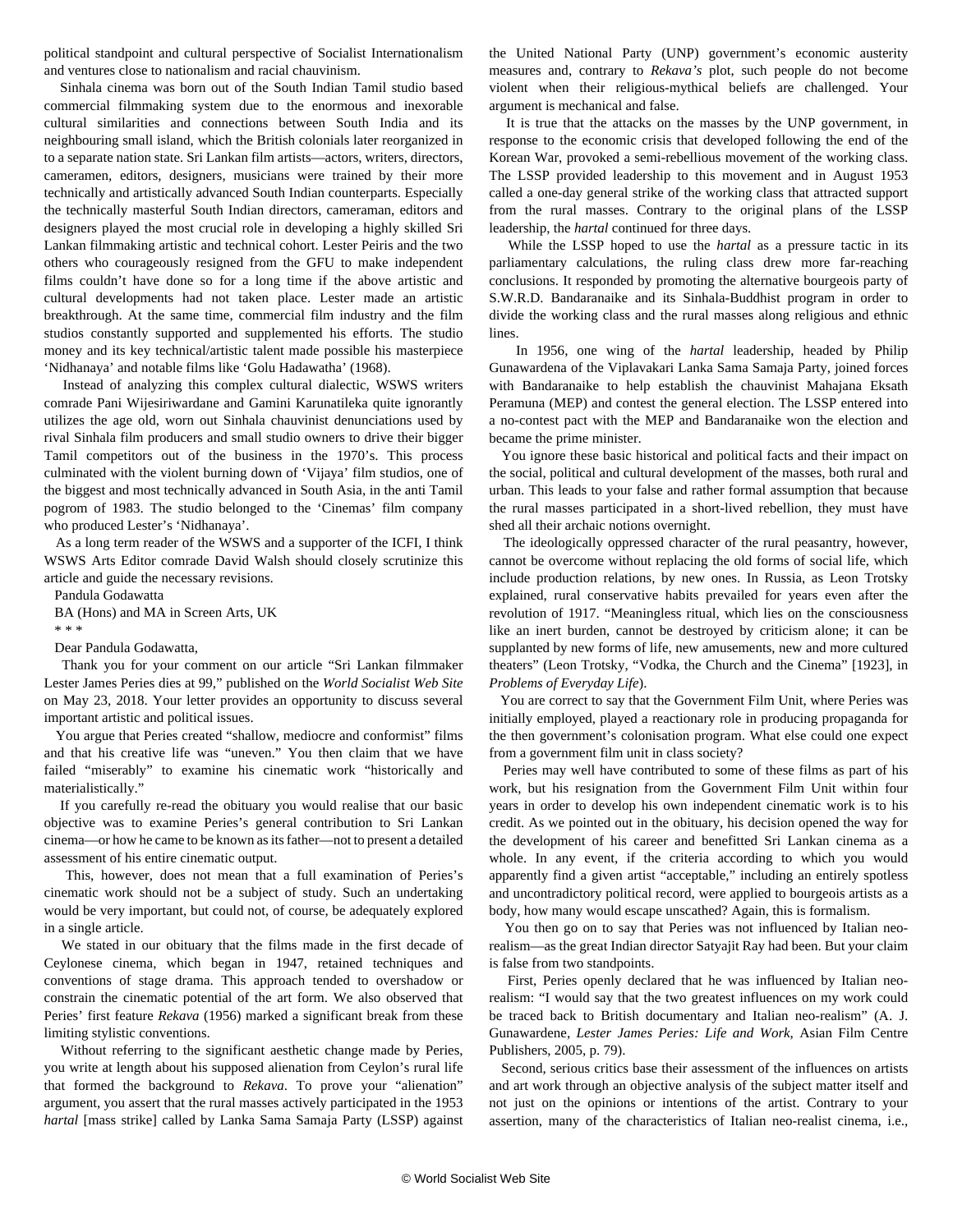political standpoint and cultural perspective of Socialist Internationalism and ventures close to nationalism and racial chauvinism.

 Sinhala cinema was born out of the South Indian Tamil studio based commercial filmmaking system due to the enormous and inexorable cultural similarities and connections between South India and its neighbouring small island, which the British colonials later reorganized in to a separate nation state. Sri Lankan film artists—actors, writers, directors, cameramen, editors, designers, musicians were trained by their more technically and artistically advanced South Indian counterparts. Especially the technically masterful South Indian directors, cameraman, editors and designers played the most crucial role in developing a highly skilled Sri Lankan filmmaking artistic and technical cohort. Lester Peiris and the two others who courageously resigned from the GFU to make independent films couldn't have done so for a long time if the above artistic and cultural developments had not taken place. Lester made an artistic breakthrough. At the same time, commercial film industry and the film studios constantly supported and supplemented his efforts. The studio money and its key technical/artistic talent made possible his masterpiece 'Nidhanaya' and notable films like 'Golu Hadawatha' (1968).

 Instead of analyzing this complex cultural dialectic, WSWS writers comrade Pani Wijesiriwardane and Gamini Karunatileka quite ignorantly utilizes the age old, worn out Sinhala chauvinist denunciations used by rival Sinhala film producers and small studio owners to drive their bigger Tamil competitors out of the business in the 1970's. This process culminated with the violent burning down of 'Vijaya' film studios, one of the biggest and most technically advanced in South Asia, in the anti Tamil pogrom of 1983. The studio belonged to the 'Cinemas' film company who produced Lester's 'Nidhanaya'.

 As a long term reader of the WSWS and a supporter of the ICFI, I think WSWS Arts Editor comrade David Walsh should closely scrutinize this article and guide the necessary revisions.

 Pandula Godawatta BA (Hons) and MA in Screen Arts, UK

\* \* \*

Dear Pandula Godawatta,

 Thank you for your comment on our article "Sri Lankan filmmaker Lester James Peries dies at 99*,*" published on the *World Socialist Web Site* on May 23, 2018. Your letter provides an opportunity to discuss several important artistic and political issues.

 You argue that Peries created "shallow, mediocre and conformist" films and that his creative life was "uneven." You then claim that we have failed "miserably" to examine his cinematic work "historically and materialistically."

 If you carefully re-read the obituary you would realise that our basic objective was to examine Peries's general contribution to Sri Lankan cinema—or how he came to be known as its father—not to present a detailed assessment of his entire cinematic output.

 This, however, does not mean that a full examination of Peries's cinematic work should not be a subject of study. Such an undertaking would be very important, but could not, of course, be adequately explored in a single article.

 We stated in our obituary that the films made in the first decade of Ceylonese cinema, which began in 1947, retained techniques and conventions of stage drama. This approach tended to overshadow or constrain the cinematic potential of the art form. We also observed that Peries' first feature *Rekava* (1956) marked a significant break from these limiting stylistic conventions.

 Without referring to the significant aesthetic change made by Peries, you write at length about his supposed alienation from Ceylon's rural life that formed the background to *Rekava*. To prove your "alienation" argument, you assert that the rural masses actively participated in the 1953 *hartal* [mass strike] called by Lanka Sama Samaja Party (LSSP) against the United National Party (UNP) government's economic austerity measures and, contrary to *Rekava's* plot, such people do not become violent when their religious-mythical beliefs are challenged. Your argument is mechanical and false.

 It is true that the attacks on the masses by the UNP government, in response to the economic crisis that developed following the end of the Korean War, provoked a semi-rebellious movement of the working class. The LSSP provided leadership to this movement and in August 1953 called a one-day general strike of the working class that attracted support from the rural masses. Contrary to the original plans of the LSSP leadership, the *hartal* continued for three days.

 While the LSSP hoped to use the *hartal* as a pressure tactic in its parliamentary calculations, the ruling class drew more far-reaching conclusions. It responded by promoting the alternative bourgeois party of S.W.R.D. Bandaranaike and its Sinhala-Buddhist program in order to divide the working class and the rural masses along religious and ethnic **lines** 

 In 1956, one wing of the *hartal* leadership, headed by Philip Gunawardena of the Viplavakari Lanka Sama Samaja Party, joined forces with Bandaranaike to help establish the chauvinist Mahajana Eksath Peramuna (MEP) and contest the general election. The LSSP entered into a no-contest pact with the MEP and Bandaranaike won the election and became the prime minister.

 You ignore these basic historical and political facts and their impact on the social, political and cultural development of the masses, both rural and urban. This leads to your false and rather formal assumption that because the rural masses participated in a short-lived rebellion, they must have shed all their archaic notions overnight.

 The ideologically oppressed character of the rural peasantry, however, cannot be overcome without replacing the old forms of social life, which include production relations, by new ones. In Russia, as Leon Trotsky explained, rural conservative habits prevailed for years even after the revolution of 1917. "Meaningless ritual, which lies on the consciousness like an inert burden, cannot be destroyed by criticism alone; it can be supplanted by new forms of life, new amusements, new and more cultured theaters" (Leon Trotsky, "Vodka, the Church and the Cinema" [1923], in *Problems of Everyday Life*).

 You are correct to say that the Government Film Unit, where Peries was initially employed, played a reactionary role in producing propaganda for the then government's colonisation program. What else could one expect from a government film unit in class society?

 Peries may well have contributed to some of these films as part of his work, but his resignation from the Government Film Unit within four years in order to develop his own independent cinematic work is to his credit. As we pointed out in the obituary, his decision opened the way for the development of his career and benefitted Sri Lankan cinema as a whole. In any event, if the criteria according to which you would apparently find a given artist "acceptable," including an entirely spotless and uncontradictory political record, were applied to bourgeois artists as a body, how many would escape unscathed? Again, this is formalism.

 You then go on to say that Peries was not influenced by Italian neorealism—as the great Indian director Satyajit Ray had been. But your claim is false from two standpoints.

 First, Peries openly declared that he was influenced by Italian neorealism: "I would say that the two greatest influences on my work could be traced back to British documentary and Italian neo-realism" (A. J. Gunawardene, *Lester James Peries: Life and Work*, Asian Film Centre Publishers, 2005, p. 79).

 Second, serious critics base their assessment of the influences on artists and art work through an objective analysis of the subject matter itself and not just on the opinions or intentions of the artist. Contrary to your assertion, many of the characteristics of Italian neo-realist cinema, i.e.,